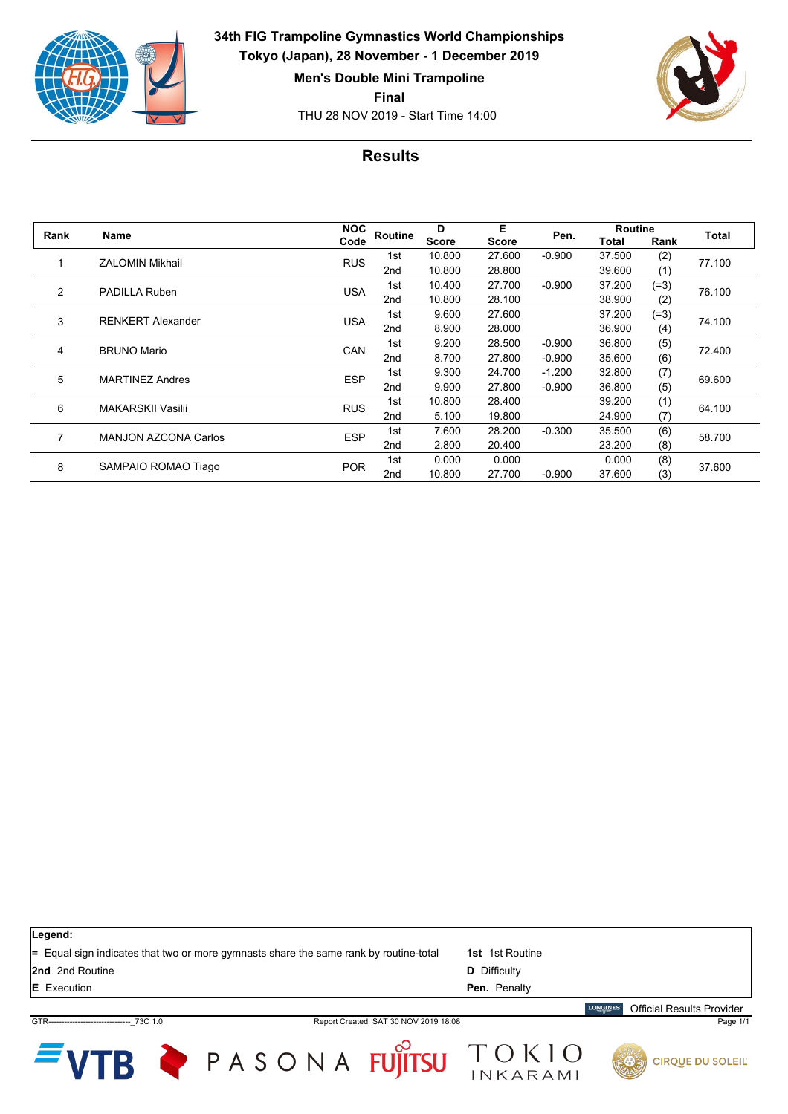

**34th FIG Trampoline Gymnastics World Championships Tokyo (Japan), 28 November - 1 December 2019**

**Men's Double Mini Trampoline**

**Final**

THU 28 NOV 2019 - Start Time 14:00



## **Results**

| Rank           | Name                        | <b>NOC</b> | Routine         | D<br><b>Score</b> | Е<br>Score | Pen.     | <b>Routine</b> |        | Total  |
|----------------|-----------------------------|------------|-----------------|-------------------|------------|----------|----------------|--------|--------|
|                |                             | Code       |                 |                   |            |          | Total          | Rank   |        |
|                | <b>ZALOMIN Mikhail</b>      | <b>RUS</b> | 1st             | 10.800            | 27.600     | $-0.900$ | 37.500         | (2)    | 77.100 |
|                |                             |            | 2 <sub>nd</sub> | 10.800            | 28.800     |          | 39.600         | (1)    |        |
| $\overline{2}$ | <b>PADILLA Ruben</b>        | <b>USA</b> | 1st             | 10.400            | 27.700     | $-0.900$ | 37.200         | $(=3)$ | 76.100 |
|                |                             |            | 2nd             | 10.800            | 28.100     |          | 38.900         | (2)    |        |
| 3              | <b>RENKERT Alexander</b>    | <b>USA</b> | 1st             | 9.600             | 27.600     |          | 37.200         | $(=3)$ | 74.100 |
|                |                             |            | 2 <sub>nd</sub> | 8.900             | 28.000     |          | 36.900         | (4)    |        |
| 4              | <b>BRUNO Mario</b>          | CAN        | 1st             | 9.200             | 28.500     | $-0.900$ | 36.800         | (5)    | 72.400 |
|                |                             |            | 2 <sub>nd</sub> | 8.700             | 27,800     | $-0.900$ | 35.600         | (6)    |        |
| 5              | <b>MARTINEZ Andres</b>      | <b>ESP</b> | 1st             | 9.300             | 24.700     | $-1.200$ | 32.800         | (7)    | 69.600 |
|                |                             |            | 2nd             | 9.900             | 27,800     | $-0.900$ | 36.800         | (5)    |        |
| 6              | <b>MAKARSKII Vasilii</b>    | <b>RUS</b> | 1st             | 10.800            | 28.400     |          | 39.200         | (1)    | 64.100 |
|                |                             |            | 2nd             | 5.100             | 19.800     |          | 24.900         | (7)    |        |
| 7              | <b>MANJON AZCONA Carlos</b> | <b>ESP</b> | 1st             | 7.600             | 28,200     | $-0.300$ | 35.500         | (6)    | 58.700 |
|                |                             |            | 2 <sub>nd</sub> | 2.800             | 20.400     |          | 23.200         | (8)    |        |
| 8              | SAMPAIO ROMAO Tiago         | <b>POR</b> | 1st             | 0.000             | 0.000      |          | 0.000          | (8)    | 37.600 |
|                |                             |            | 2 <sub>nd</sub> | 10.800            | 27.700     | $-0.900$ | 37.600         | (3)    |        |